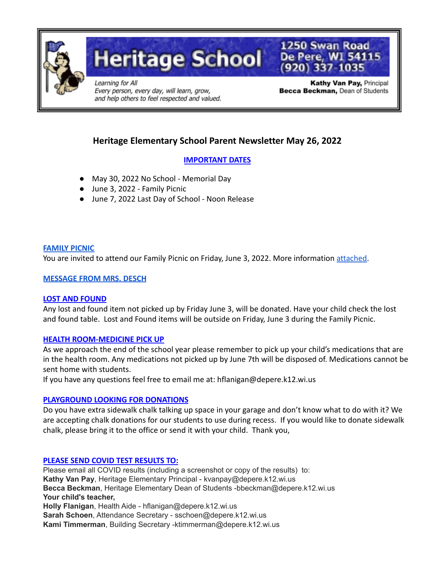

**Heritage School** 

Learning for All Every person, every day, will learn, grow, and help others to feel respected and valued.

Kathy Van Pay, Principal Becca Beckman, Dean of Students

1250 Swan Road

De Pere, WI 54115

# **Heritage Elementary School Parent Newsletter May 26, 2022**

# **IMPORTANT DATES**

- May 30, 2022 No School Memorial Day
- June 3, 2022 Family Picnic
- June 7, 2022 Last Day of School Noon Release

#### **[FAMILY PICNIC](https://docs.google.com/document/d/1Dzb4blLpDg63Fi-8f5XBmmcTtScQrzlB32O5hlG7Khk/edit?usp=sharing)**

You are invited to attend our Family Picnic on Friday, June 3, 2022. More information [attached.](https://docs.google.com/document/d/1Dzb4blLpDg63Fi-8f5XBmmcTtScQrzlB32O5hlG7Khk/edit?usp=sharing)

## **[MESSAGE FROM MRS. DESCH](https://docs.google.com/document/d/12MOSgaYeugI4iMN5ZydYVFbBunEk_6dSsYU2yQUJTNo/edit?usp=sharing)**

## **LOST AND FOUND**

Any lost and found item not picked up by Friday June 3, will be donated. Have your child check the lost and found table. Lost and Found items will be outside on Friday, June 3 during the Family Picnic.

## **HEALTH ROOM-MEDICINE PICK UP**

As we approach the end of the school year please remember to pick up your child's medications that are in the health room. Any medications not picked up by June 7th will be disposed of. Medications cannot be sent home with students.

If you have any questions feel free to email me at: hflanigan@depere.k12.wi.us

## **PLAYGROUND LOOKING FOR DONATIONS**

Do you have extra sidewalk chalk talking up space in your garage and don't know what to do with it? We are accepting chalk donations for our students to use during recess. If you would like to donate sidewalk chalk, please bring it to the office or send it with your child. Thank you,

## **PLEASE SEND COVID TEST RESULTS TO:**

Please email all COVID results (including a screenshot or copy of the results) to: **Kathy Van Pay**, Heritage Elementary Principal - kvanpay@depere.k12.wi.us **Becca Beckman**, Heritage Elementary Dean of Students -bbeckman@depere.k12.wi.us **Your child's teacher, Holly Flanigan**, Health Aide - hflanigan@depere.k12.wi.us **Sarah Schoen**, Attendance Secretary - sschoen@depere.k12.wi.us **Kami Timmerman**, Building Secretary -ktimmerman@depere.k12.wi.us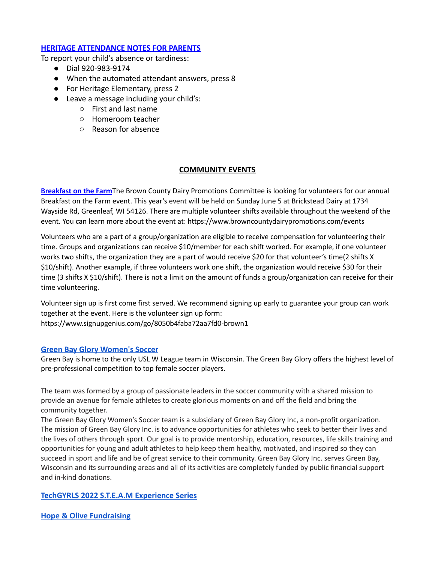#### **HERITAGE ATTENDANCE NOTES FOR PARENTS**

To report your child's absence or tardiness:

- Dial 920-983-9174
- When the automated attendant answers, press 8
- For Heritage Elementary, press 2
- Leave a message including your child's:
	- First and last name
	- Homeroom teacher
	- Reason for absence

#### **COMMUNITY EVENTS**

**Breakfast on the Farm**The Brown County Dairy Promotions Committee is looking for volunteers for our annual Breakfast on the Farm event. This year's event will be held on Sunday June 5 at Brickstead Dairy at 1734 Wayside Rd, Greenleaf, WI 54126. There are multiple volunteer shifts available throughout the weekend of the event. You can learn more about the event at: <https://www.browncountydairypromotions.com/events>

Volunteers who are a part of a group/organization are eligible to receive compensation for volunteering their time. Groups and organizations can receive \$10/member for each shift worked. For example, if one volunteer works two shifts, the organization they are a part of would receive \$20 for that volunteer's time(2 shifts X \$10/shift). Another example, if three volunteers work one shift, the organization would receive \$30 for their time (3 shifts X \$10/shift). There is not a limit on the amount of funds a group/organization can receive for their time volunteering.

Volunteer sign up is first come first served. We recommend signing up early to guarantee your group can work together at the event. Here is the volunteer sign up form: <https://www.signupgenius.com/go/8050b4faba72aa7fd0-brown1>

#### **[Green Bay Glory Women's Soccer](http://www.greenbayglory.com/)**

Green Bay is home to the only USL W League team in Wisconsin. The Green Bay Glory offers the highest level of pre-professional competition to top female soccer players.

The team was formed by a group of passionate leaders in the soccer community with a shared mission to provide an avenue for female athletes to create glorious moments on and off the field and bring the community together.

The Green Bay Glory Women's Soccer team is a subsidiary of Green Bay Glory Inc, a non-profit organization. The mission of Green Bay Glory Inc. is to advance opportunities for athletes who seek to better their lives and the lives of others through sport. Our goal is to provide mentorship, education, resources, life skills training and opportunities for young and adult athletes to help keep them healthy, motivated, and inspired so they can succeed in sport and life and be of great service to their community. Green Bay Glory Inc. serves Green Bay, Wisconsin and its surrounding areas and all of its activities are completely funded by public financial support and in-kind donations.

#### **[TechGYRLS 2022 S.T.E.A.M Experience Series](https://drive.google.com/file/d/1VI62J10yQnmXeewL-QjqT9pjDYzHkf8X/view?usp=sharing)**

**[Hope & Olive Fundraising](https://drive.google.com/file/d/1S_P-PwmnI2ch_8FAjAOfOX7oatlqB5Eo/view?usp=sharing)**